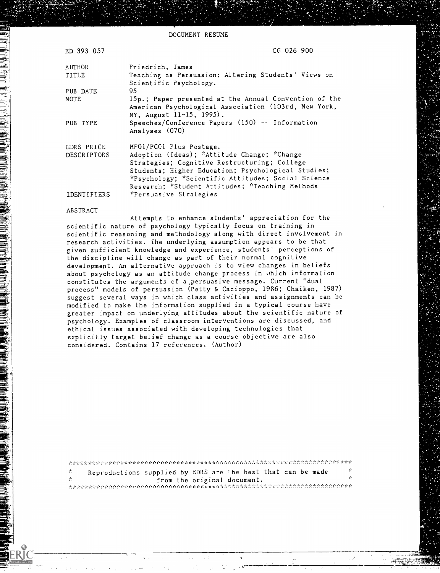DOCUMENT RESUME

| ED 393 057                | $CG$ 026 900                                                                                                                              |
|---------------------------|-------------------------------------------------------------------------------------------------------------------------------------------|
| AUTHOR                    | Friedrich, James                                                                                                                          |
| TITLE                     | Teaching as Persuasion: Altering Students' Views on<br>Scientific Psychology.                                                             |
| PUB DATE                  | 95                                                                                                                                        |
| <b>NOTE</b>               | 15p.; Paper presented at the Annual Convention of the<br>American Psychological Association (103rd, New York,<br>NY, August 11-15, 1995). |
| PUB TYPE                  | Speeches/Conference Papers $(150)$ -- Information<br>Analyses (070)                                                                       |
| EDRS PRICE<br>DESCRIPTORS | MFO1/PCO1 Plus Postage.<br>Adoption (Ideas); *Attitude Change; *Change                                                                    |
|                           | Strategies; Cognitive Restructuring; College                                                                                              |
|                           | Students; Higher Education; Psychological Studies;                                                                                        |
|                           | *Psychology; *Scientific Attitudes; Social Science<br>Research; *Student Attitudes; *Teaching Methods                                     |
| <i><b>IDENTIFIERS</b></i> | *Persuasive Strategies                                                                                                                    |

#### ABSTRACT

Attempts to enhance students' appreciation for the scientific nature of psychology typically focus on training in scientific reasoning and methodology along with direct involvement in research activities. The underlying assumption appears to be that given sufficient knowledge and experience, students' perceptions of the discipline will change as part of their normal cognitive development. An alternative approach is to view changes in beliefs about psychology as an attitude change process in which information constitutes the arguments of a.persuasive message. Current "dual process" models of persuasion (Petty & Cacioppo, 1986; Chaiken, 1987) suggest several ways in which class activities and assignments can be modified to make the information supplied in a typical course have greater impact on underlying attitudes about the scientific nature of psychology. Examples of classroom interventions are discussed, and ethical issues associated with developing technologies that explicitly target belief change as a course objective are also considered. Contains 17 references. (Author)

rerreter de relevant de la terretera de la contrada de la contrada de la contrada de la contrada de la contrada de la contrada de la contrada de la contrada de la contrada de la contrada de la contrada de la contrada de la Reproductions supplied by EDRS are the best that can be made sk.  $\frac{d}{dx}$  from the original document.  $\frac{d}{dx}$  $\Phi$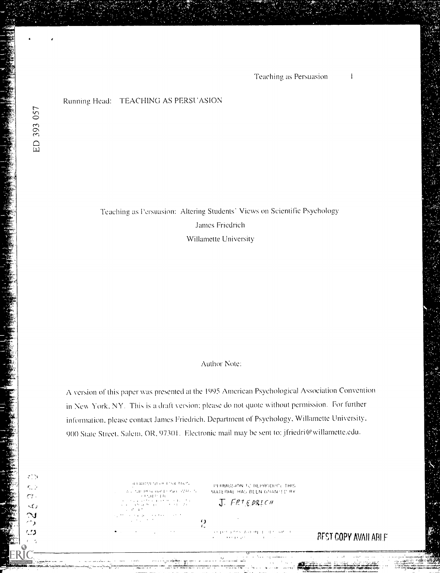### Running Head: TEACHING AS PERSUASION

Teaching as Persuasion: Altering Students' Views on Scientific Psychology James Friedrich Willamette University

# Author Note:

A version of this paper was presented at the 1995 American Psychological Association Convention in New York, NY. This is a draft version; please do not quote without permission. For further information. please contact James Friedrich. Department of Psychology. Willamette University. 900 State Street. Salem. OR, 97301. Electronic mail may be sent to: jfriedri@willamette.edu.

 $\frac{\Omega}{L}$ 

**CARTISTELOR ETHICATION** 

PF RMISSION TO REPRODUCE THIS MATERIAL HAS BEEN GRANTED BY J FRIEDRICH

**BEST COPY AVAILABLE** 

 $cr.$ 

マン \ 1

٠, دی

 $\epsilon_{\rm{max}}$ 

 $\sim$  3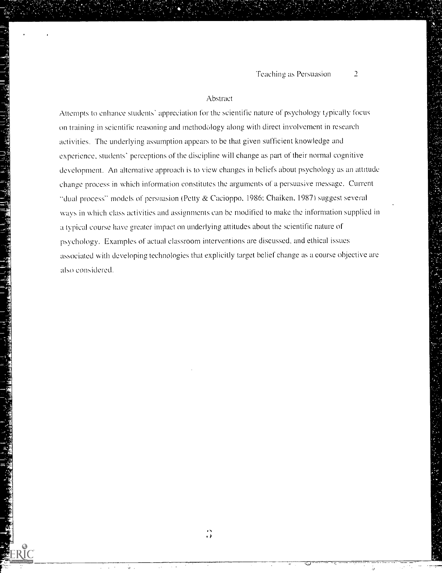### Abstract

Attempts to enhance students' appreciation for the scientific nature of psychology typically focus on training in scientific reasoning and methodology along with direct involvement in research activities. The underlying assumption appears to be that given sufficient knowledge and experience, students' perceptions of the discipline will change as part of their normal cognitive development. An alternative approach is to view changes in beliefs about psychology as an attitude change process in which information constitutes the arguments of a persuasive message. Current "dual process" models of persuasion (Petty & Cacioppo, 1986; Chaiken, 1987) suggest several ways in which class activities and assignments can be modified to make the information supplied in a typical course have greater impact on underlying attitudes about the scientific nature of psychology. Examples of actual classroom interventions are discussed, and ethical issues associated with developing technologies that explicitly target belief change as a course ohjective are also considered.

ù.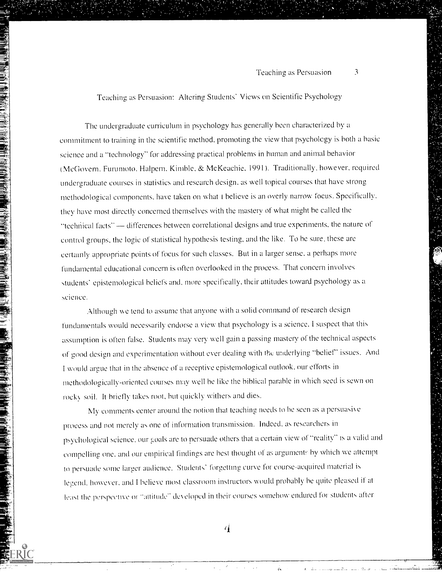Teaching as Persuasion: Altering Students' Views on Scientific Psychology

The undergraduate curriculum in psychology has generally been characterized by a commitment to training in the scientific method, promoting the view that psychology is hoth a basic science and a "technology" for addressing practical problems in human and animal behavior (McGovern. Furumoto. Halpern. Kimble. & McKeachie, 1991). Traditionally, however, required undergraduate courses in statistics and research design. as well topical courses that have strong methodological components. have taken on what t believe is an overly narrow focus. Specifically. they have most directly concerned themselves with the mastery of what might be called the "technical facts" - differences between correlational designs and true experiments, the nature of control groups, the logic of statistical hypothesis testing, and the like. To be sure, these are certainly appropriate points of focus for such classes. But in a larger sense, a perhaps more fundamental educational concern is often overlooked in the process. That concern involves students' epistemological beliefs and. more specifically, their attitudes toward psychology as a science.

Although we tend to assume that anyone with a solid command of research design fundamentals would necessarily endorse a view that psychology is a science. I suspect that this assumption is often false. Students may very well gain a passing mastery of the technical aspects of good design and experimentation without ever dealing with the underlying "belief" issues. And I would argue that in the absence of a receptive epistemological outlook, our efforts in methodologically-oriented courses may well he like the biblical parable in which seed is sewn on rocky soil. It briefly takes root, but quickly withers and dies.

My comments center around the notion that teaching needs to be seen as a persuasive process and not merely as one of information transmission. Indeed, as researchers in psychological science, our goals are to persuade others that a certain view of "reality" is a valid and compelling one, and our empirical findings are best thought of as arguments by which we attempt to persuade some larger audience. Students' forgetting curve for course-acquired material is legend. however. and I believe most classroom instructors would probably he quite pleased if at least the perspective or "attitude" developed in their courses somehow endured for students after

4

 $\ddot{v}$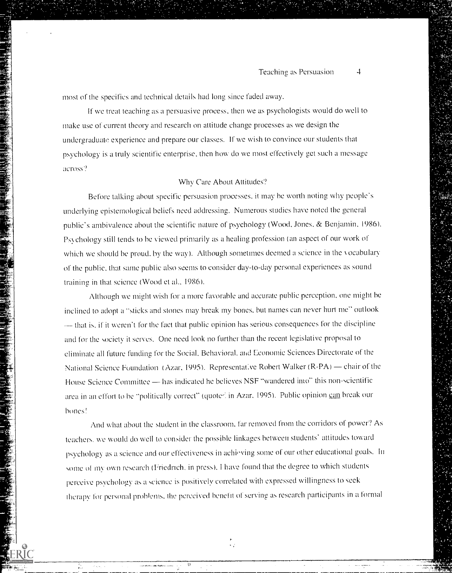most of the specifics and technical details had long since faded away.

If we treat teaching as a persuasive process, then we as psychologists would do well to make use of current theory and research on attitude change processes as we design the undergraduatc experience and prepare our classes. If we wish to convince our students that psychology is a truly scientific enterprise, then how do we most effectively get such a message across?

### Why Care About Attitudes?

Before talking about specific persuasion processes. it may he worth noting why people's underlying epistemological beliefs need addressing. Numerous studies have noted the general public's ambivalence about the scientific nature of psychology (Wood, Jones, & Benjamin, 1986). Ps\chology still tends to he viewed primarily as a healing profession (an aspect of our work of which we should be proud. by the way). Although sometimes deemed a science in the vocabulary of the public. that same public also seems to consider day-to-day personal experiences as sound training in that science (Wood et al., 1986).

Although we might wish for a more favorable and accurate public perception, one might he inclined to adopt a "sticks and stones may break my bones, but names can never hurt me" outlook - that is, if it weren't for the fact that public opinion has serious consequences for the discipline and for the society it serves. One need look no further than the recent legislative proposal to eliminate all future funding for the Social. Behavioral. and Economic Sciences Directorate of the National Science Foundation (Azar, 1995). Representative Robert Walker (R-PA) — chair of the House Science Committee - has indicated he believes NSF "wandered imo" this non-scientific area in an effort to be "politically correct" (quoted in Azar. 1995). Public opinion can break our hones!

And what about the student in the classroom, far removed from the corridors of power? As teachers. we would do well to consider the possihle linkages between students' attitudes toward psychology as a science and our effectiveness in achieving some of our other educational goals. In some of my own research (Friedrich, in press). I have found that the degree to which students perceive psychology as a science is positively correlated with expressed willingness to seek Iherapv for personal problems, the perceived benefit of serving as research participants in a formal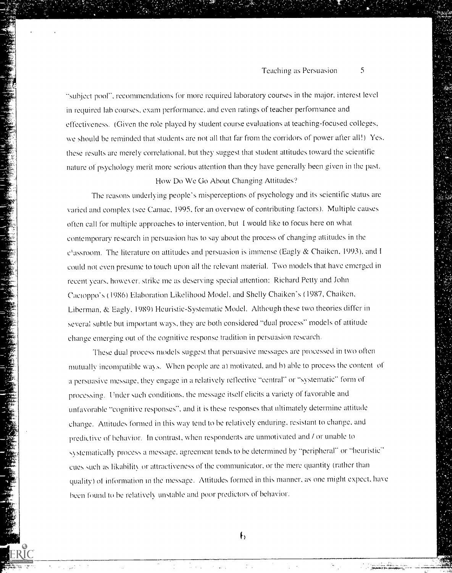"subject pool'', recommendations for more required laboratory courses in the major, interest level in required lab courses, exam performance, and even ratings of teacher performance and effectiveness. (Given the role played hy student course evaluations at teaching-focused colleges. we should be reminded that students are not all that far from the corridors of power after all!) Yes. these results are merely correlational. hut they suggest that student attitudes toward the scientific nature of psychology merit more serious attention than they have generally been given in the past.

### How Do We GO About Changing Attitudes'?

The reasons underlying people's misperceptions of psychology and its scientific status are varied and complex (see Camac, 1995, for an overview of contributing factors). Multiple causes often call for multiple approaches to intervention. but I would like to focus here on what contemporary research in persuasion has to say about the process of changing attitudes in the c'assroom. The literature on attitudes and persuasion is immense (Eagly & Chaiken. 1993), and I could not even presume to touch upon all the relevant material. Two models that have emerged in recent years. bowc\ er, strike me as deserving special attention: Richard Petty and John Cactoppo's (1986) Elaboration Likelihood Model, and Shelly Chaiken's (1987, Chaiken, Liherman, & Eagly. 1989) Heuristic-Systematic Model. Although these two theories differ in several subtle but important ways, they are both considered "dual process" models of attitude change emerging out of the cognitive response tradition in persuasion research.

These dual process models suggest that persuasive messages arc processed in two often mutually incompatible ways. When people are a) motivated, and b) able to process the content of a persuasive message, they engage in a relatively reflective "central" or "systematic" form of processing. Under such conditions, the message itself elicits a variety of favorable and unfavorable "cognitive responses", and it is these responses that ultimately determine attitude change. Attitudes formed in this wav tend to he relatively enduring, resistant to change, and predictive of behavior. In contrast, when respondents are unmotivated and / or unable to systematically process a message, agreement tends to be determined by "peripheral" or "heuristic" cues such as likahilik or attractiveness of the communicator. or the mere quantity (rather than quality) of information in the message. Attitudes formed in this manner. as one might expect, have been found to be relatively unstable and poor predictors of behavior.

 $\mathfrak{h}$ 

-!,,=

,41.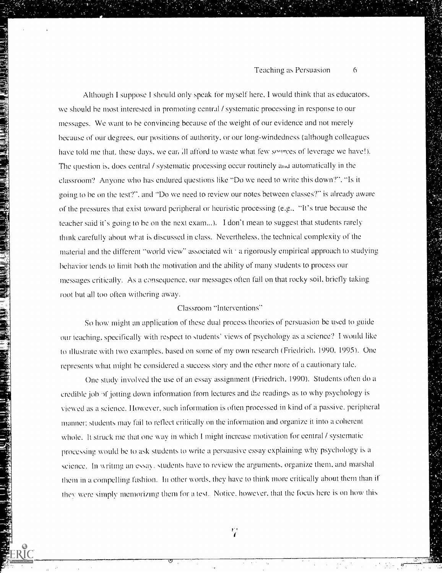Although I suppose I should only speak for myself here. I would think that as educators, we should he most interested in promoting central / systematic processing in response to our messages. We want to he convincing because of the weight of our evidence and not merely because of our degrees, our positions of authority, or our long-windedness (although colleagues have told me that, these days, we can. Ill afford to waste what few sources of leverage we have!). The question is. does central / systematic processing occur routinely and automatically in the classroom? Anyone who has endured questions like "Do we need to write this down?", "Is it going to he on the test?", and "Do we need to review our notes between classes?" is already aware of the pressures that exist toward peripheral or heuristic processing (e.g., "It's true because the teacher said it's going to he on the next exam...). I don't mean to suggest that students rarely think carefully about what is discussed in class. Nevertheless, the technical complexity of the material and the different "world view" associated wit a rigorously empirical approach to studying behavior tends to limit both the motivation and the ability of many students to process our messages critically. As a consequence, our messages often fall on that rocky soil, briefly taking root but all too often withering away.

## Classroom "Interventions"

So how might an application of these dual process theories of persuasion he used to guide our teaching. specifically with respect to students' views of psychology as a science'? I would like to illustrate with two examples. based on some of my own research (Friedrich. 1990. 1995). One represents what might be considered a success story and the other more of a cautionary tale.

One study involved the use of an essay assignment (Friedrich, 1990). Students often do a credible job of jotting down information from lectures and the readings as to why psychology is viewed as a science. However, such information is often processed in kind of a passive, peripheral manner: students may fail to reflect critically on the information and organize it into a coherent whole. It struck me that one way in which I might increase motivation for central / systematic processing would be to ask students to write a persuasive essay explaining why psychology is a science. In writing an essay, students have to review the arguments, organize them, and marshal them in a compelling fashion. In other words. they have to think more critically ahout them than if they were simply memorizing them for a test. Notice, however, that the focus here is on how this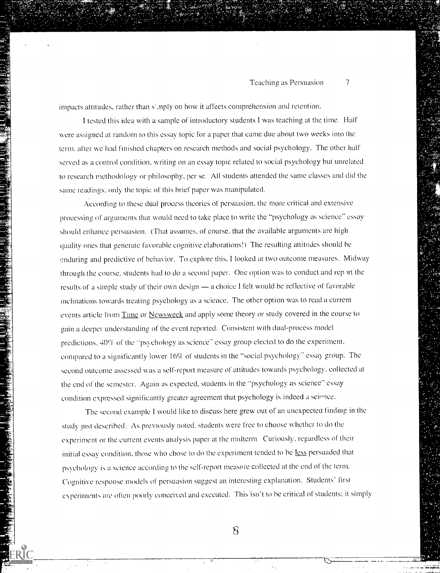impacts attitudes, rather than  $s'$  mply on how it affects comprehension and retention.

I tested this idea with a sample of introductory students I was teaching at the time. Half were assigned at random to this essay topic for a paper that came due about two weeks into the term. after we had finished chapters on research methods and social psychology. The other half served as a control condition, writing on an essay topic related to social psychology hut unrelated to research methodology or philosophy, per se. All students attended the same classes and did the same readings: only the topic of this brief paper was manipulated.

According to these dual process theories of persuasion, the more critical and extensive processing of arguments that would need to take place to write the "psychology as science" essay should enhance persuasion. (That assumes, of course, that the available arguments are high quality ones that generate favorable cognitive elaborations!) The resulting attitudes should be enduring and predictive of behavior. To explore this, I looked at two outcome measures. Midway through the course, students had to do a second paper. One option was to conduct and report the results of a simple study of their own design — a choice I felt would be reflective of favorable inclinations towards treating psychology as a science. Thc other option was to read a current events article from Time or Newsweek and apply some theory or study covered in the course to gain a deeper understanding of the event reported. Consistent with dual-process model predictions, 40% of the "psychology as science" essay group elected to do the experiment. compared to a significantly lower 16% of students in the "social psychology" essay group. The second outcome assessed was a self-report measure of attitudes towards psychology, collected at the end of the semester. Again as expected, students in thc "psychology as science" essay condition expressed significantly greater agreement that psychology is indeed a seionce.

The second example I would like to discuss here grew out of an unexpected finding in the study Just descrihed. As previously noted, students were free to choose whether to do the experiment or the current events analysis paper at the midterm Curiously, regardless of their initial essay condition. those who chose to do the experiment tended to he less persuaded that psychology is a science according to the self-report measure collected at the end of the term. Cognitive response models of persuasion suggest an interesting explanation. Students' first everimenk are often poorly conceived and executed, This isn't to he critical of students: it simply

 $\delta$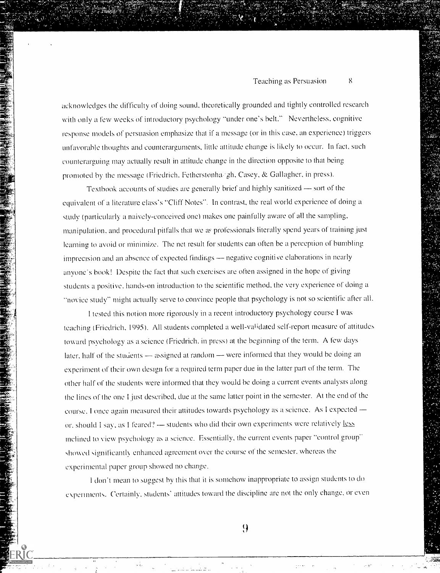acknowledges the difficulty of doing sound, theoretically grounded and tightly controlled research with only a few weeks of introductory psychology "under one's belt." Nevertheless, cognitive response models of persuasion emphasize that if a message (or in this case, an experience) triggers unfavorable thoughts and counterarguments, little attitude change is likely to occur. In fact, such counterarguing may actually result in attitude change in the direction opposite to that being promoted by the message (Friedrich, Fetherstonha, gh, Casey, & Gallagher, in press).

Textbook accounts of studies are generally brief and highly sanitized — sort of the equivalent of a literature class's "Cliff Notes". In contrast, the real world experience of doing a study (particularly a naively-conceived one) makes one painfully aware of all the sampling, manipulation. and procedural pitfalls that we as professionals literally spend years of training just learning to avoid or minimize. The net result for students can often be a perception of bumbling imprecision and an absence of expected findings — negative cognitive elaborations in nearly anyone's hook! Despite the fact that such exercises are often assigned in the hope of giving students a positive. hands-on introduction to the scientific method, the very experience of doing a "novice study" might actually serve to convince people that psychology is not so scientific after all.

I tested this notion more rigorously in a recent introductory psychology course I was teaching (Friedrich, 1995). All students completed a well-validated self-report measure of attitudes toward psychology as a science (Friedrich, in press) at the beginning of the term. A few days later, half of the students  $-$  assigned at random  $-$  were informed that they would be doing an experiment of their own design for a required term paper due in the latter part of the term. The other half of the students were informed that they would be doing a current events analysis along the lines of the one I just described, due at the same latter point in the semester. At the end of the course. I once again measured their attitudes towards psychology as a science. As I expected  $$ or, should I say, as I feared? - students who did their own experiments were relatively less inclined to view psychology as a science. Essentially. the current events paper "control group" showed significantly enhanced agreement over the course of the semester, whereas the experimental paper group showed no change.

I don't mean to suggest by this that it is somehow inappropriate to assign students to do experiments. Certainly, students' attitudes toward the discipline are not the only change, or even

9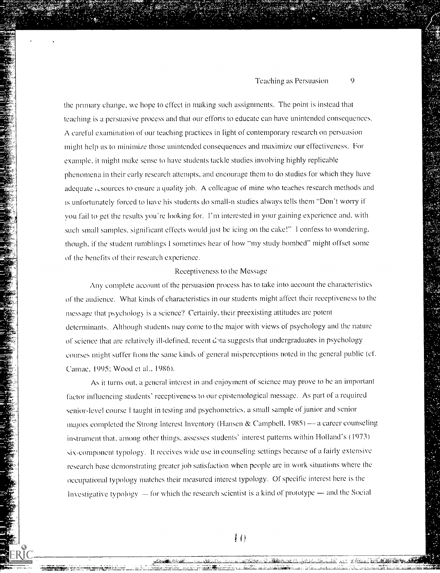the primary change, we hope to effect in making such assignments. The point is instead that teaching is a persuasive process and that our efforts to educate can have unintended consequences. A careful examination of our teaching practices in light of contemporary research on persuasion might help us to minimize those unintended consequences and maximize our effectiveness. For example. it might make sense to have students tackle studies involving highly replicable phenomena in their early research attempts, and encourage them to do studies for which they have adequate i-sources to ensure a quality job. A colleague of mine who teaches research methods and is unfortunately forced to have his students do small-n studies always tells them "Don't worry if you fail to get the results you're looking for. I'm interested in your gaining experience and, with such small samples. significant effects would just be icing on the cake!" I confess to wondering. though, if the student rumblings I sometimes hear of how "my study bombed" might offset some of the benefits of their research experience.

### Receptiveness to the Message

Any complete account of the persuasion process has to take into account the characteristics of the audience. What kinds of characteristics in our students might affect their receptiveness to the message that psychology is a science? Certainly, their preexisting attitudes are potent determinants. Although students may come to the major with views of psychology and the nature of science that are relatively ill-defined, recent data suggests that undergraduates in psychology courses might suffer from the same kinds of general misperceptions noted in the general public (cf. Camac, 1995: Wood et al., 1986).

As it turns out, a general interest in and enjoyment of science may prove to be an important factor influencing students' receptiveness to our epistemological message. As part of a required senior-level course I taught in testing and psychometrics, a small sample of junior and senior majors completed the Strong Interest Inventory (Hansen & Campbell, 1985)  $-$  a career counseling instrument that, among other things, assesses students' interest patterns within Holland's (1973) six-component typology. It receives wide use in counseling settings because of a fairly extensive research base demonstrating greater job satisfaction when people arc in work situations where the occupational typology matches their measured interest typology. Of specific interest here is the Investigative typology  $-$  for which the research scientist is a kind of prototype  $-$  and the Social

 $1()$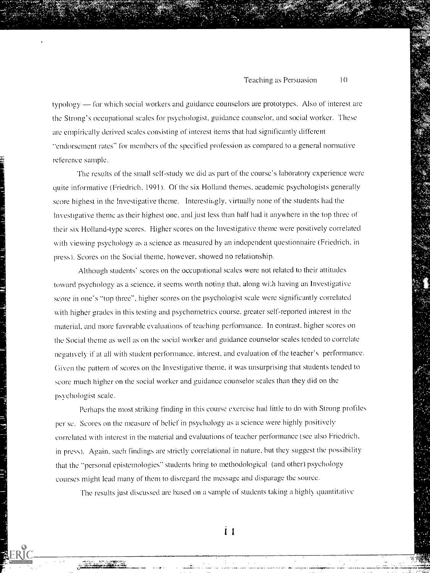typology - for which social workers and guidance counselors are prototypes. Also of interest are the Strong's occupational scales for psychologist, guidance counselor, and social worker. These are empirically derived scales consisting of interest items that had significantly different "endorsement rates" for members of the specified profession as compared to a general normative reference sample.

The results of the small self-study we did as part of the course's laboratory experience were quite informative (Friedrich, 1991). Of the six Holland themes. academic psychologists generally score highest in the Investigative theme. Interestihgly, virtually none of the students had the Investigative theme as their highest one, and just less than half had it anywhere in the top three of their six Holland-type scores. Higher scores on the Investigative theme were positively correlated with viewing psychology as a science as measured by an independent questionnaire (Friedrich. in press). Scores on the Social theme, however, showed no relationship.

Although students' scores on the occupational scales were not related to their attitudes toward psychology as a science, it seems worth noting that, along with having an Investigative score in one's "top three", higher scores on the psychologist scale were significantly correlated with higher grades in this testing and psychometrics course. greater self-reported interest in the material, and more favorable evaluations of teaching performance. In contrast, higher scores on the Social theme as well as on the social worker and guidance counselor scales tended to correlate negatively if at all with student performance. interest, and evaluation of the teacher's performance. Given the pattern of scores on the Investigative theme, it was unsurprising that students tended to score much higher on the social worker and guidance counselor scales than they did on the psychologist scale.

Perhaps the most striking finding in this course exercise had little to do with Strong profiles per se. Scores on the measure of belief in psychology as a science were highly positively correlated with interest in the material and evaluations of teacher performance (see also Friedrich. in press). Again, such findings are strictly correlational in nature. hut they suggest the possibility that the "personal epistemologies" students bring to methodological (and other) psychology courses might lead many of them to disregard the message and disparage the source.

The results just discussed are based on a sample of students taking a highly quantitative

ÎІ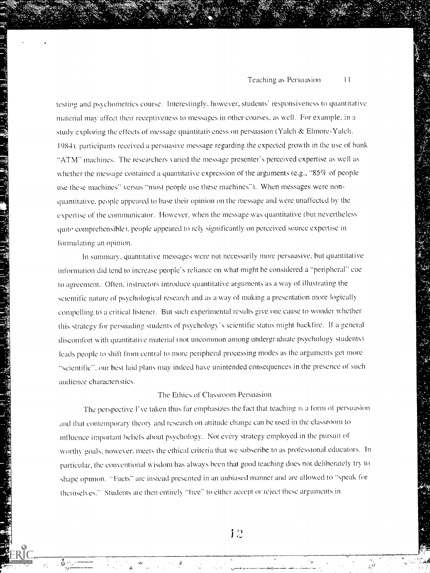testing and psychometrics course. Interestingly, however, students' responsiveness to quantitative material may affect their receptiveness to messages in other courses, as well. For example, in a study exploring the effects of message quantitativeness on persuasion (Yalch & Elmore-Yalch. 198.4). participants received a persuasive message regarding the expected growth in the use of bank "ATM" machines. The researchers varied the message presenter's perceived expertise as well as whether the message contained a quantitative expression of the arguments (e.g., "85% of people use these machines" versus "most people use these machines"). When messages were nonquantitative. people appeared to base their opinion on the message and were unaffected bv the expertise of the communicator. However, when the message was quantitative (but nevertheless quite comprehensible), people appeared to rely significantly on perceived source expertise in formulating an opinion.

In summary, quantitative messages were not necessarily more persuasive. hut quantitative information did tend to increase people's reliance on what might be considered a "peripheral" cue to agreement. Often, instructors introduce quantitative arguments as a way of illustrating the scientific nature of psychological research and as a way of making a presentation more logically compelling to a critical listener. But such experimental results give one cause to wonder whether this strategy for persuading students of psychologx 's scientific status might backfire. If a general discomfort with quantitative material (not uncommon among undergraduate psychology students) leads people to shift from central to more peripheral processing modes as the arguments get more "scientific", our best laid plans may indeed have unintended consequences in the presence of such audience characteristics.

## The Ethics of Classroom Persuasion

The perspective I've taken thus far emphasizes the fact that teaching is a form of persuasion and that contemporary theory and research on attitude change can be used in the classroom to influence important belief's about psychology. Not every strategy employed in the pursuit of worthy goals, nowever. meets the ethical criteria that we subscribe to as professional educators. In particular, the conventional wisdom has always been that good teaching does not deliberately try to shape opinion. 'Facts" are instead presented in an unbiased manner and are allowed to "speak for themselves." Students are then entirely "free" to either accept or reject these arguments in

 $\mathcal{F}^{\text{max}}$ 

12

-Y--e.)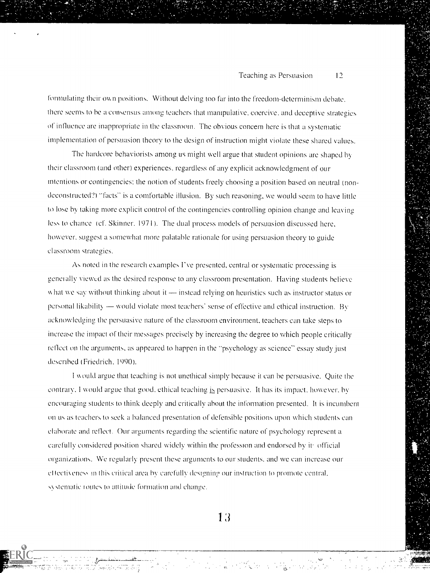formulating their own positions. Without delving too far into the freedom-determinism debate. there seems to be a consensus among teachers that manipulative, coercive, and deceptive strategies of influence are inappropriate in the classroom. The obvious concern here is that a systematic implementation of persuasion theory to the design of instruction might violate these shared values.

'The hardcore behaviorists among us might well argue that student opinions are shaped by their classroom (and other) experiences. regardless of any explicit acknowledgment of our intentions or contingencies: the notion of students freely choosing a position based on neutral (non deconstructed?) "facts" is a comfortable illusion. By such reasoning, we would seem to have little to lose hv taking more explicit control of the contingencies controlling opinion change and leaving less to chance (cf. Skinner. 1971). The dual process models of persuasion discussed here, however, suggest a somewhat more palatable rationale for using persuasion theory to guide classroom strategies.

As noted in the research examples I've presented, central or systematic processing is genet ally viewud as the desired response to any classroom presentation. Having students believe what we say without thinking about it  $-$  instead relying on heuristics such as instructor status or personal likability - would violate most teachers' sense of effective and ethical instruction. By acknowledging the persuasive nature of the classroom environment, teachers can take steps to increase the impact of their messages precisely by increasing the degree to which people critically reflect on the arguments, as appeared to happen in the "psychology as science" essay study just described (Friedrich, 1990).

\\ ould argue that teaching is not unethical simply because it can be persuasive. Quite the contrary. I would argue that good. ethical teaching is persuasive. It has its impact. however. by encouraging students to think deeply and critically about the information presented. It is incumbent on us as teachers to seek a balanced presentation of defensible positions upon which students can elaborate and reflect. Our arguments regarding the scientific nature of psychology represent a carefully considered position shared widely within (he profession and endorsed by it official organizations. We regularly present these arguments to our students, and we can increase our effectiveness in this critical area by carefully designing our instruction to promote central, systematic routes to attitude formation and change.

13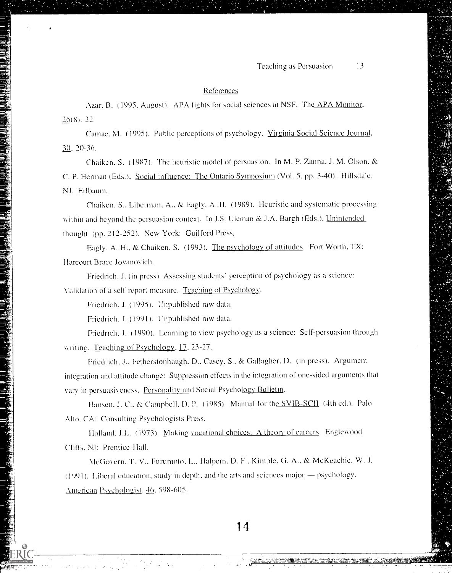### References

Azar. B. (1995. August). APA fights for social sciences at NSF. The APA Monitor, 26(8). 22.

Camac. M. (1995). Public perceptions of psychology. Virginia Social Science Journal, 30, 20-36.

Chaiken, S. (1987). The heuristic model of persuasion. In M. P. Zanna, J. M. Olson, & C. P. Herman (Eds.). Social influence: The Ontario Symposium (Vol. 5, pp. 3-40). Hillsdale. NJ: Erlhaum.

Chaiken, S.. Liberman. A.. & Eaglv, A .11. (1989). Heuristic and systematic processing within and beyond the persuasion context. In J.S. Uleman & J.A. Bargh (Eds.), Unintended thought (pp. 212-252). New York: Guilford Press.

Eagly. A. H., & Chaiken, S. (1993). The psychology of attitudes. Fort Worth, TX: Harcourt Brace Jovanovich.

Friedrich. J. (in press). Assessing students' perception of psychology as a science: Validation of a self-report measure. Teaching of Psychology.

Friedrich. J. (1995). Unpublished raw data.

Friedrich. J. (1991 ). Unpuhlished raw data.

Friedrich, J. (1990). Learning to view psychology as a science: Self-persuasion through writing. Teaching of Psychology, 17, 23-27.

Friedrich, J.. Fetherstonhaugh. D., Casey, S.. & Gallagher. D. (in press). Argument integration and attitude change: Suppression effects in the integration of one-sided arguments that vary in persuasiveness. Personality and Social Psychology Bulletin.

Hansen, J. C., & Campbell, D. P. (1985). Manual for the SVIB-SCII (4th ed.). Palo Alto. CA: Consulting Psychologists Press.

Holland, J.L. (1973). Making vocational choices: A theory of careers. Englewood Cliffs. NJ: Prentice-Hall.

McGovern. T. V., Furumoto, L., Halpern. D. F., Kimble. G. A., & McKeachie. W. J.  $(1991)$ . Liberal education, study in depth, and the arts and sciences major  $-$  psychology. American Psychologist, 46, 598-605.